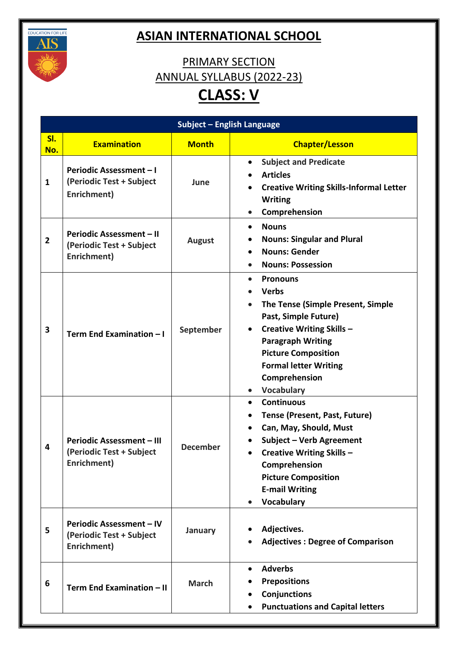

## **ASIAN INTERNATIONAL SCHOOL**

## PRIMARY SECTION ANNUAL SYLLABUS (2022-23) **CLASS: V**

|                |                                                                             | Subject - English Language |                                                                                                                                                                                                                                                                                                                   |
|----------------|-----------------------------------------------------------------------------|----------------------------|-------------------------------------------------------------------------------------------------------------------------------------------------------------------------------------------------------------------------------------------------------------------------------------------------------------------|
| SI.<br>No.     | <b>Examination</b>                                                          | <b>Month</b>               | <b>Chapter/Lesson</b>                                                                                                                                                                                                                                                                                             |
| $\mathbf{1}$   | Periodic Assessment-I<br>(Periodic Test + Subject<br>Enrichment)            | June                       | <b>Subject and Predicate</b><br>$\bullet$<br><b>Articles</b><br><b>Creative Writing Skills-Informal Letter</b><br><b>Writing</b><br>Comprehension<br>$\bullet$                                                                                                                                                    |
| $\overline{2}$ | <b>Periodic Assessment - II</b><br>(Periodic Test + Subject<br>Enrichment)  | <b>August</b>              | <b>Nouns</b><br>$\bullet$<br><b>Nouns: Singular and Plural</b><br>$\bullet$<br><b>Nouns: Gender</b><br>$\bullet$<br><b>Nouns: Possession</b>                                                                                                                                                                      |
| 3              | Term End Examination - I                                                    | September                  | <b>Pronouns</b><br>$\bullet$<br><b>Verbs</b><br>The Tense (Simple Present, Simple<br>Past, Simple Future)<br><b>Creative Writing Skills -</b><br>$\bullet$<br><b>Paragraph Writing</b><br><b>Picture Composition</b><br><b>Formal letter Writing</b><br>Comprehension<br><b>Vocabulary</b><br>$\bullet$           |
| 4              | <b>Periodic Assessment - III</b><br>(Periodic Test + Subject<br>Enrichment) | <b>December</b>            | <b>Continuous</b><br>$\bullet$<br><b>Tense (Present, Past, Future)</b><br>$\bullet$<br>Can, May, Should, Must<br>$\bullet$<br><b>Subject - Verb Agreement</b><br><b>Creative Writing Skills -</b><br>$\bullet$<br>Comprehension<br><b>Picture Composition</b><br><b>E-mail Writing</b><br>Vocabulary<br>$\bullet$ |
| 5              | <b>Periodic Assessment - IV</b><br>(Periodic Test + Subject<br>Enrichment)  | January                    | Adjectives.<br><b>Adjectives: Degree of Comparison</b>                                                                                                                                                                                                                                                            |
| 6              | Term End Examination - II                                                   | <b>March</b>               | <b>Adverbs</b><br>$\bullet$<br><b>Prepositions</b><br>Conjunctions<br>$\bullet$<br><b>Punctuations and Capital letters</b>                                                                                                                                                                                        |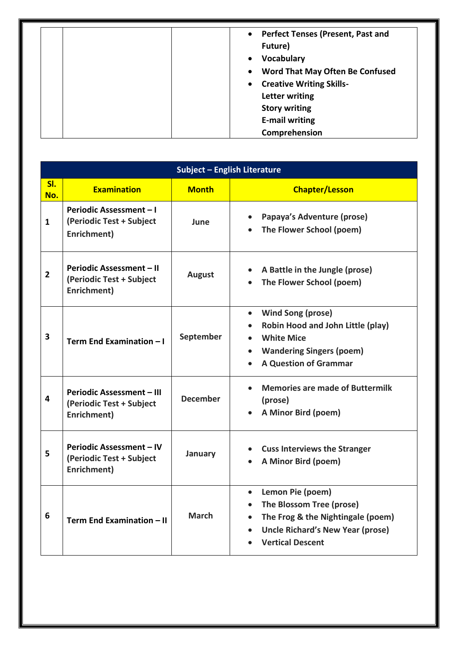| • Perfect Tenses (Present, Past and<br>Future)<br><b>Vocabulary</b><br>$\bullet$<br>Word That May Often Be Confused<br>$\bullet$<br>• Creative Writing Skills-<br>Letter writing<br><b>Story writing</b> |
|----------------------------------------------------------------------------------------------------------------------------------------------------------------------------------------------------------|
| <b>E-mail writing</b><br>Comprehension                                                                                                                                                                   |

|                | Subject - English Literature                                                |                 |                                                                                                                                                                                                           |  |
|----------------|-----------------------------------------------------------------------------|-----------------|-----------------------------------------------------------------------------------------------------------------------------------------------------------------------------------------------------------|--|
| SI.<br>No.     | <b>Examination</b>                                                          | <b>Month</b>    | <b>Chapter/Lesson</b>                                                                                                                                                                                     |  |
| $\mathbf 1$    | Periodic Assessment - I<br>(Periodic Test + Subject<br>Enrichment)          | June            | Papaya's Adventure (prose)<br>$\bullet$<br>The Flower School (poem)                                                                                                                                       |  |
| $\overline{2}$ | Periodic Assessment - II<br>(Periodic Test + Subject<br>Enrichment)         | <b>August</b>   | A Battle in the Jungle (prose)<br>The Flower School (poem)                                                                                                                                                |  |
| 3              | Term End Examination - I                                                    | September       | Wind Song (prose)<br>$\bullet$<br><b>Robin Hood and John Little (play)</b><br>$\bullet$<br><b>White Mice</b><br>$\bullet$<br><b>Wandering Singers (poem)</b><br>$\bullet$<br><b>A Question of Grammar</b> |  |
| 4              | <b>Periodic Assessment - III</b><br>(Periodic Test + Subject<br>Enrichment) | <b>December</b> | <b>Memories are made of Buttermilk</b><br>$\bullet$<br>(prose)<br>A Minor Bird (poem)                                                                                                                     |  |
| 5              | Periodic Assessment - IV<br>(Periodic Test + Subject<br>Enrichment)         | January         | <b>Cuss Interviews the Stranger</b><br>A Minor Bird (poem)                                                                                                                                                |  |
| 6              | Term End Examination - II                                                   | <b>March</b>    | • Lemon Pie (poem)<br>The Blossom Tree (prose)<br>$\bullet$<br>The Frog & the Nightingale (poem)<br>$\bullet$<br><b>Uncle Richard's New Year (prose)</b><br>$\bullet$<br><b>Vertical Descent</b>          |  |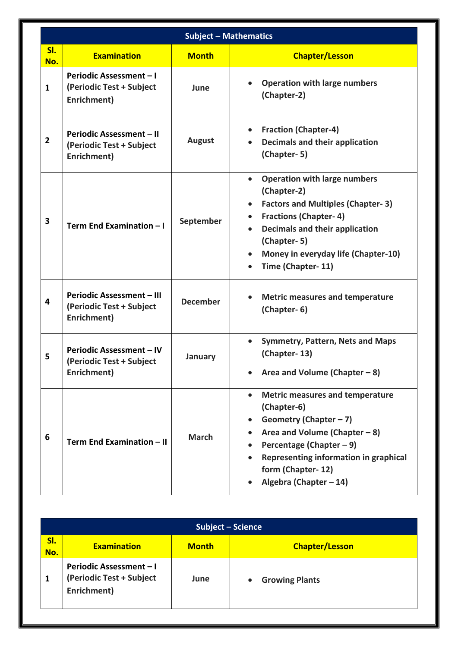|                |                                                                             | <b>Subject - Mathematics</b> |                                                                                                                                                                                                                                              |
|----------------|-----------------------------------------------------------------------------|------------------------------|----------------------------------------------------------------------------------------------------------------------------------------------------------------------------------------------------------------------------------------------|
| SI.<br>No.     | <b>Examination</b>                                                          | <b>Month</b>                 | <b>Chapter/Lesson</b>                                                                                                                                                                                                                        |
| $\mathbf{1}$   | Periodic Assessment-I<br>(Periodic Test + Subject<br>Enrichment)            | June                         | <b>Operation with large numbers</b><br>(Chapter-2)                                                                                                                                                                                           |
| $\overline{2}$ | Periodic Assessment - II<br>(Periodic Test + Subject<br>Enrichment)         | August                       | <b>Fraction (Chapter-4)</b><br>Decimals and their application<br>(Chapter-5)                                                                                                                                                                 |
| 3              | Term End Examination - I                                                    | September                    | <b>Operation with large numbers</b><br>(Chapter-2)<br><b>Factors and Multiples (Chapter-3)</b><br><b>Fractions (Chapter-4)</b><br>Decimals and their application<br>(Chapter-5)<br>Money in everyday life (Chapter-10)<br>Time (Chapter-11)  |
| 4              | <b>Periodic Assessment - III</b><br>(Periodic Test + Subject<br>Enrichment) | <b>December</b>              | <b>Metric measures and temperature</b><br>(Chapter-6)                                                                                                                                                                                        |
| 5              | <b>Periodic Assessment - IV</b><br>(Periodic Test + Subject<br>Enrichment)  | January                      | <b>Symmetry, Pattern, Nets and Maps</b><br>(Chapter-13)<br>Area and Volume (Chapter - 8)                                                                                                                                                     |
| 6              | Term End Examination - II                                                   | <b>March</b>                 | <b>Metric measures and temperature</b><br>(Chapter-6)<br>Geometry (Chapter $-7$ )<br>Area and Volume (Chapter $-8$ )<br>Percentage (Chapter $-9$ )<br>Representing information in graphical<br>form (Chapter-12)<br>Algebra (Chapter $-14$ ) |

|            | Subject - Science                                                         |              |                                    |  |
|------------|---------------------------------------------------------------------------|--------------|------------------------------------|--|
| SI.<br>No. | <b>Examination</b>                                                        | <b>Month</b> | <b>Chapter/Lesson</b>              |  |
|            | <b>Periodic Assessment - I</b><br>(Periodic Test + Subject<br>Enrichment) | June         | <b>Growing Plants</b><br>$\bullet$ |  |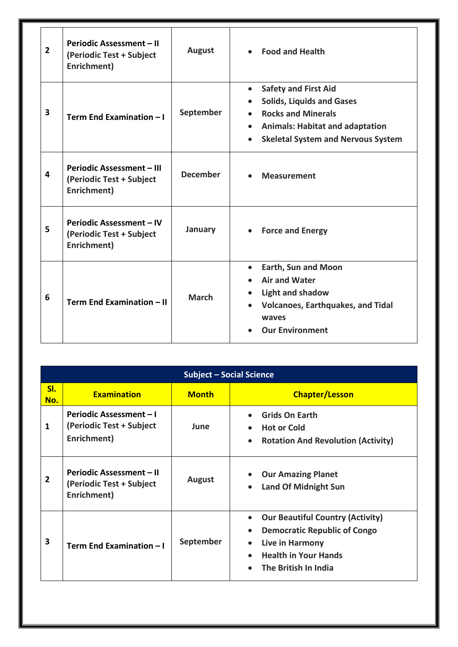| $\overline{2}$ | Periodic Assessment - II<br>(Periodic Test + Subject<br>Enrichment)         | <b>August</b>   | <b>Food and Health</b><br>$\bullet$                                                                                                                                                                                        |
|----------------|-----------------------------------------------------------------------------|-----------------|----------------------------------------------------------------------------------------------------------------------------------------------------------------------------------------------------------------------------|
| 3              | Term End Examination - I                                                    | September       | <b>Safety and First Aid</b><br>$\bullet$<br><b>Solids, Liquids and Gases</b><br><b>Rocks and Minerals</b><br><b>Animals: Habitat and adaptation</b><br>$\bullet$<br><b>Skeletal System and Nervous System</b><br>$\bullet$ |
| 4              | <b>Periodic Assessment - III</b><br>(Periodic Test + Subject<br>Enrichment) | <b>December</b> | <b>Measurement</b><br>$\bullet$                                                                                                                                                                                            |
| 5              | <b>Periodic Assessment - IV</b><br>(Periodic Test + Subject<br>Enrichment)  | January         | <b>Force and Energy</b><br>$\bullet$                                                                                                                                                                                       |
| 6              | Term End Examination - II                                                   | <b>March</b>    | <b>Earth, Sun and Moon</b><br>$\bullet$<br><b>Air and Water</b><br><b>Light and shadow</b><br>$\bullet$<br><b>Volcanoes, Earthquakes, and Tidal</b><br>$\bullet$<br>waves<br><b>Our Environment</b>                        |

|                | <b>Subject - Social Science</b>                                            |              |                                                                                                                                                                                                 |  |
|----------------|----------------------------------------------------------------------------|--------------|-------------------------------------------------------------------------------------------------------------------------------------------------------------------------------------------------|--|
| SI.<br>No.     | <b>Examination</b>                                                         | <b>Month</b> | <b>Chapter/Lesson</b>                                                                                                                                                                           |  |
| 1              | <b>Periodic Assessment – I</b><br>(Periodic Test + Subject<br>Enrichment)  | June         | <b>Grids On Earth</b><br><b>Hot or Cold</b><br><b>Rotation And Revolution (Activity)</b><br>$\bullet$                                                                                           |  |
| $\overline{2}$ | <b>Periodic Assessment – II</b><br>(Periodic Test + Subject<br>Enrichment) | August       | <b>Our Amazing Planet</b><br><b>Land Of Midnight Sun</b><br>$\bullet$                                                                                                                           |  |
| 3              | Term End Examination - I                                                   | September    | <b>Our Beautiful Country (Activity)</b><br>$\bullet$<br><b>Democratic Republic of Congo</b><br>$\bullet$<br>Live in Harmony<br><b>Health in Your Hands</b><br>The British In India<br>$\bullet$ |  |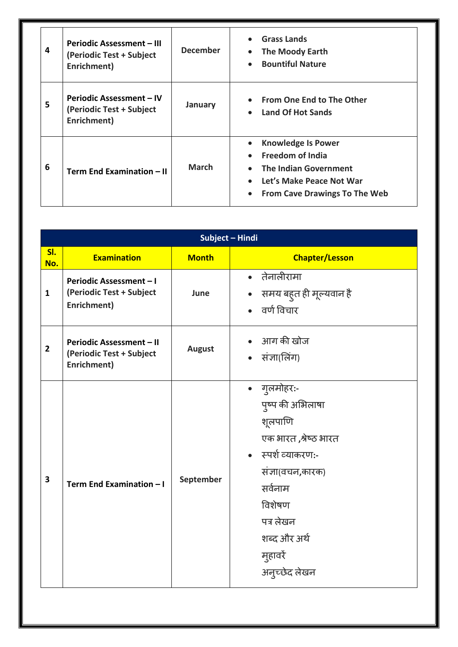| 4 | <b>Periodic Assessment - III</b><br>(Periodic Test + Subject<br>Enrichment) | <b>December</b> | <b>Grass Lands</b><br><b>The Moody Earth</b><br><b>Bountiful Nature</b><br>$\bullet$                                                                                               |
|---|-----------------------------------------------------------------------------|-----------------|------------------------------------------------------------------------------------------------------------------------------------------------------------------------------------|
| 5 | <b>Periodic Assessment – IV</b><br>(Periodic Test + Subject<br>Enrichment)  | January         | <b>From One End to The Other</b><br><b>Land Of Hot Sands</b>                                                                                                                       |
| 6 | Term End Examination - II                                                   | <b>March</b>    | <b>Knowledge Is Power</b><br><b>Freedom of India</b><br>$\bullet$<br><b>The Indian Government</b><br>Let's Make Peace Not War<br><b>From Cave Drawings To The Web</b><br>$\bullet$ |

|                | Subject - Hindi                                                           |               |                                                                                                                                                                                                      |  |
|----------------|---------------------------------------------------------------------------|---------------|------------------------------------------------------------------------------------------------------------------------------------------------------------------------------------------------------|--|
| SI.<br>No.     | <b>Examination</b>                                                        | <b>Month</b>  | <b>Chapter/Lesson</b>                                                                                                                                                                                |  |
| $\mathbf{1}$   | <b>Periodic Assessment - I</b><br>(Periodic Test + Subject<br>Enrichment) | June          | • तेनालीरामा<br>• समय बहुत ही मूल्यवान है<br>• वर्ण विचार                                                                                                                                            |  |
| $\overline{2}$ | Periodic Assessment - II<br>(Periodic Test + Subject<br>Enrichment)       | <b>August</b> | आग की खोज<br>• संज्ञा(लिंग)                                                                                                                                                                          |  |
| 3              | Term End Examination - I                                                  | September     | • गुलमोहर:-<br>पुष्प की अभिलाषा<br>शूलपाणि<br>एक भारत, श्रेष्ठ भारत<br>• स्पर्श व्याकरण:-<br>संज्ञा(वचन,कारक)<br>सर्वनाम<br>विशेषण<br>पत्र लेखन<br>शब्द और अर्थ<br>मुहावरें<br>अन् <i>च्छेद लेखन</i> |  |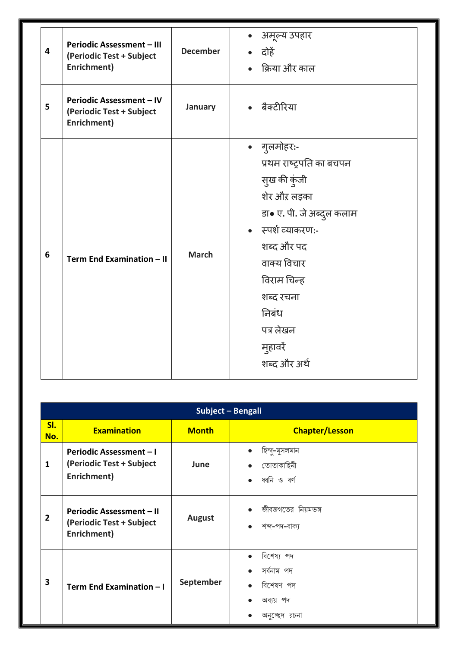| 4 | <b>Periodic Assessment - III</b><br>(Periodic Test + Subject<br>Enrichment) | <b>December</b> | • अमूल्य उपहार<br>• दोहें<br>• क्रिया और काल                                                                                                                                                                                          |
|---|-----------------------------------------------------------------------------|-----------------|---------------------------------------------------------------------------------------------------------------------------------------------------------------------------------------------------------------------------------------|
| 5 | Periodic Assessment - IV<br>(Periodic Test + Subject<br>Enrichment)         | January         | • बैक्टीरिया                                                                                                                                                                                                                          |
| 6 | Term End Examination - II                                                   | <b>March</b>    | • गुलमोहर:-<br>प्रथम राष्ट्रपति का बचपन<br>सुख की कुंजी<br>शेर औऱ लड़का<br>डा• ए. पी. जे अब्दुल कलाम<br>• स्पर्श व्याकरण:-<br>शब्द और पद<br>वाक्य विचार<br>विराम चिन्ह<br>शब्द रचना<br>निबंध<br>पत्र लेखन<br>मुहावरें<br>शब्द और अर्थ |

|                | Subject - Bengali                                                          |               |                                                                                                 |  |
|----------------|----------------------------------------------------------------------------|---------------|-------------------------------------------------------------------------------------------------|--|
| SI.<br>No.     | <b>Examination</b>                                                         | <b>Month</b>  | <b>Chapter/Lesson</b>                                                                           |  |
| $\mathbf{1}$   | <b>Periodic Assessment - I</b><br>(Periodic Test + Subject<br>Enrichment)  | June          | হিন্দু-মুসলমান<br>$\bullet$<br>তোতাকাহিনী<br>$\bullet$<br>ধ্বনি ও বৰ্ণ<br>$\bullet$             |  |
| $\overline{2}$ | <b>Periodic Assessment - II</b><br>(Periodic Test + Subject<br>Enrichment) | <b>August</b> | জীবজগতের নিয়মভঙ্গ<br>$\bullet$<br>শব্দ-পদ-বাক্য<br>$\bullet$                                   |  |
| 3              | Term End Examination - I                                                   | September     | বিশেষ্য পদ<br>$\bullet$<br>সৰ্বনাম পদ<br>বিশেষণ পদ<br>$\bullet$<br>অব্যয় পদ<br>অনচ্ছেদ<br>রচনা |  |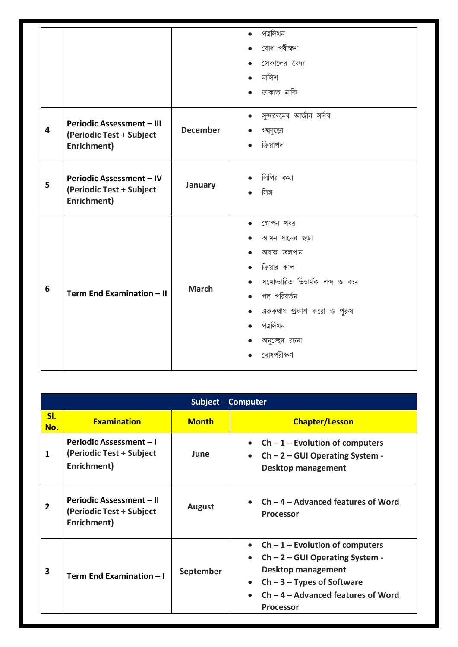| $\overline{\mathbf{4}}$ | <b>Periodic Assessment - III</b><br>(Periodic Test + Subject<br>Enrichment) | <b>December</b> | পত্ৰলিখন<br>$\bullet$<br>বোধ পরীক্ষণ<br>সেকালের বৈদ্য<br>$\bullet$<br>নালিশ<br>ডাকাত নাকি<br>সুন্দরবনের আর্জান সর্দার<br>গল্পবুড়ো<br>ক্রিয়াপদ                                                                |
|-------------------------|-----------------------------------------------------------------------------|-----------------|----------------------------------------------------------------------------------------------------------------------------------------------------------------------------------------------------------------|
| 5                       | <b>Periodic Assessment - IV</b><br>(Periodic Test + Subject<br>Enrichment)  | January         | লিপির কথা<br>লিঙ্গ                                                                                                                                                                                             |
| 6                       | Term End Examination - II                                                   | <b>March</b>    | গোপন খবর<br>$\bullet$<br>আমন ধানের ছড়া<br>$\bullet$<br>অবাক জলপান<br>ক্রিয়ার কাল<br>সমোচ্চারিত ভিন্নার্থক শব্দ ও বচন<br>পদ পরিবর্তন<br>এককথায় প্রকাশ করো ও পুরুষ<br>পত্ৰলিখন<br>অনুচ্ছেদ রচনা<br>বোধপরীক্ষণ |

| <b>Subject - Computer</b> |                                                                            |               |                                                                                                                                                                                                                            |  |  |
|---------------------------|----------------------------------------------------------------------------|---------------|----------------------------------------------------------------------------------------------------------------------------------------------------------------------------------------------------------------------------|--|--|
| SI.<br>No.                | <b>Examination</b>                                                         | <b>Month</b>  | <b>Chapter/Lesson</b>                                                                                                                                                                                                      |  |  |
| 1                         | <b>Periodic Assessment - I</b><br>(Periodic Test + Subject<br>Enrichment)  | June          | $Ch - 1$ – Evolution of computers<br>$Ch - 2 - GUI$ Operating System -<br>$\bullet$<br><b>Desktop management</b>                                                                                                           |  |  |
| $\overline{2}$            | <b>Periodic Assessment – II</b><br>(Periodic Test + Subject<br>Enrichment) | <b>August</b> | $Ch - 4 - Advanced features of Word$<br><b>Processor</b>                                                                                                                                                                   |  |  |
| 3                         | Term End Examination - I                                                   | September     | • Ch $-1$ – Evolution of computers<br>$Ch - 2 - GUI Operating System -$<br>$\bullet$<br><b>Desktop management</b><br>$Ch - 3 - Types$ of Software<br>$\bullet$<br>$Ch - 4 - Advanced features of Word$<br><b>Processor</b> |  |  |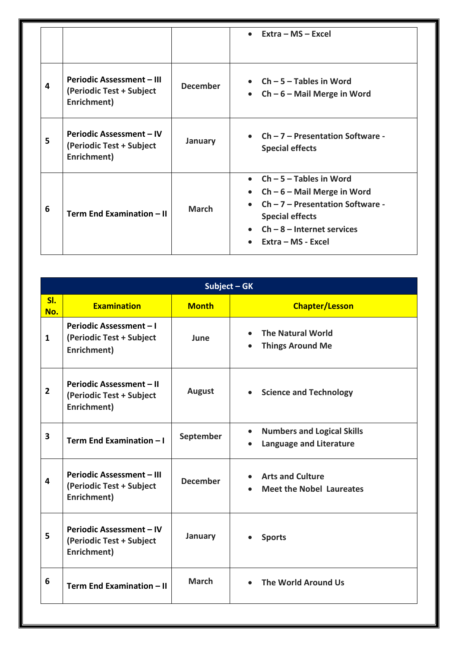|   |                                                                             |                 | Extra – MS – Excel                                                                                                                                                                                         |
|---|-----------------------------------------------------------------------------|-----------------|------------------------------------------------------------------------------------------------------------------------------------------------------------------------------------------------------------|
| 4 | <b>Periodic Assessment - III</b><br>(Periodic Test + Subject<br>Enrichment) | <b>December</b> | • $Ch - 5 - Tables$ in Word<br>• $Ch - 6 - Mail$ Merge in Word                                                                                                                                             |
| 5 | <b>Periodic Assessment – IV</b><br>(Periodic Test + Subject<br>Enrichment)  | January         | • $Ch - 7$ – Presentation Software -<br><b>Special effects</b>                                                                                                                                             |
| 6 | Term End Examination - II                                                   | <b>March</b>    | $Ch - 5 - Tables$ in Word<br>$Ch - 6 -$ Mail Merge in Word<br>$\bullet$<br>$Ch - 7 -$ Presentation Software -<br>$\bullet$<br><b>Special effects</b><br>$Ch - 8 - Internet$ services<br>Extra – MS - Excel |

| Subject - GK   |                                                                             |                 |                                                                                  |  |  |
|----------------|-----------------------------------------------------------------------------|-----------------|----------------------------------------------------------------------------------|--|--|
| SI.<br>No.     | <b>Examination</b>                                                          | <b>Month</b>    | <b>Chapter/Lesson</b>                                                            |  |  |
| $\mathbf{1}$   | <b>Periodic Assessment - I</b><br>(Periodic Test + Subject<br>Enrichment)   | June            | <b>The Natural World</b><br>$\bullet$<br><b>Things Around Me</b>                 |  |  |
| $\overline{2}$ | <b>Periodic Assessment - II</b><br>(Periodic Test + Subject<br>Enrichment)  | August          | <b>Science and Technology</b><br>$\bullet$                                       |  |  |
| 3              | Term End Examination - I                                                    | September       | <b>Numbers and Logical Skills</b><br>$\bullet$<br><b>Language and Literature</b> |  |  |
| 4              | <b>Periodic Assessment - III</b><br>(Periodic Test + Subject<br>Enrichment) | <b>December</b> | <b>Arts and Culture</b><br><b>Meet the Nobel Laureates</b>                       |  |  |
| 5              | Periodic Assessment - IV<br>(Periodic Test + Subject<br>Enrichment)         | January         | <b>Sports</b>                                                                    |  |  |
| 6              | Term End Examination - II                                                   | <b>March</b>    | The World Around Us                                                              |  |  |